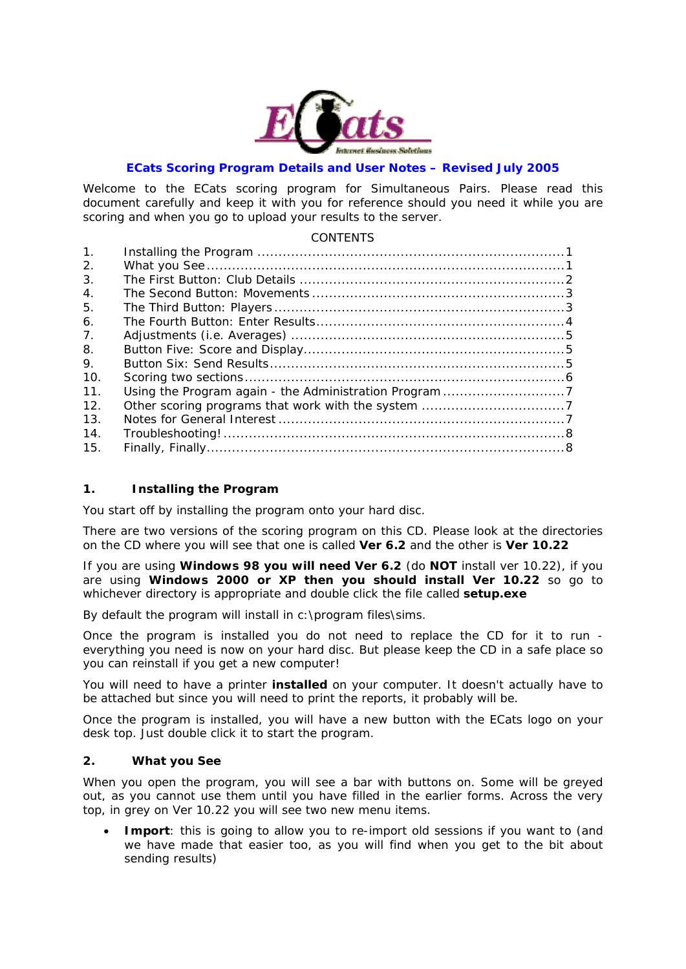

#### **ECats Scoring Program Details and User Notes – Revised July 2005**

Welcome to the ECats scoring program for Simultaneous Pairs. Please read this document carefully and keep it with you for reference should you need it while you are scoring and when you go to upload your results to the server.

#### **CONTENTS**

| 1 <sub>1</sub> |  |
|----------------|--|
| 2.             |  |
| 3.             |  |
| $\mathbf{4}$ . |  |
| 5.             |  |
| 6.             |  |
| 7.             |  |
| 8.             |  |
| 9.             |  |
| 10.            |  |
| 11.            |  |
| 12.            |  |
| 13.            |  |
| 14.            |  |
| 15.            |  |

#### **1. Installing the Program**

You start off by installing the program onto your hard disc.

There are two versions of the scoring program on this CD. Please look at the directories on the CD where you will see that one is called **Ver 6.2** and the other is **Ver 10.22**

If you are using **Windows 98 you will need Ver 6.2** (do **NOT** install ver 10.22), if you are using **Windows 2000 or XP then you should install Ver 10.22** so go to whichever directory is appropriate and double click the file called **setup.exe**

By default the program will install in c:\program files\sims.

Once the program is installed you do not need to replace the CD for it to run everything you need is now on your hard disc. But please keep the CD in a safe place so you can reinstall if you get a new computer!

You will need to have a printer **installed** on your computer. It doesn't actually have to be attached but since you will need to print the reports, it probably will be.

Once the program is installed, you will have a new button with the ECats logo on your desk top. Just double click it to start the program.

### **2. What you See**

When you open the program, you will see a bar with buttons on. Some will be greyed out, as you cannot use them until you have filled in the earlier forms. Across the very top, in grey on Ver 10.22 you will see two new menu items.

**Import**: this is going to allow you to re-import old sessions if you want to (and we have made that easier too, as you will find when you get to the bit about sending results)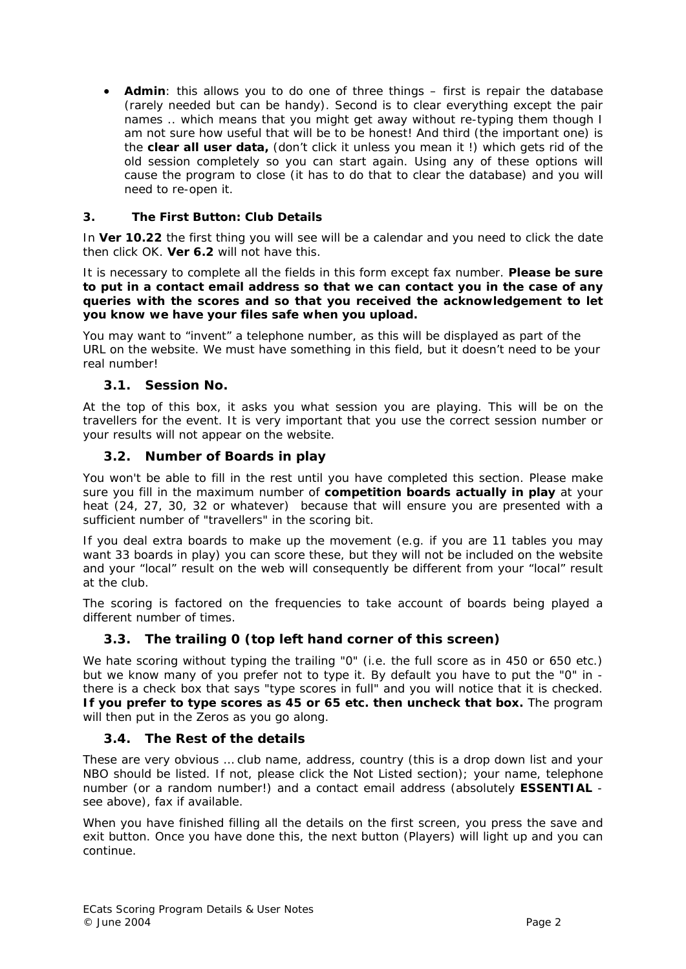• **Admin**: this allows you to do one of three things – first is repair the database (rarely needed but can be handy). Second is to clear everything except the pair names .. which means that you might get away without re-typing them though I am not sure how useful that will be to be honest! And third (the important one) is the **clear all user data,** (don't click it unless you mean it !) which gets rid of the old session completely so you can start again. Using any of these options will cause the program to close (it has to do that to clear the database) and you will need to re-open it.

## **3. The First Button: Club Details**

In *Ver 10.22* the first thing you will see will be a calendar and you need to click the date then click OK. *Ver 6.2* will not have this.

It is necessary to complete all the fields in this form except fax number. **Please be sure to put in a contact email address so that we can contact you in the case of any queries with the scores and so that you received the acknowledgement to let you know we have your files safe when you upload.** 

You may want to "invent" a telephone number, as this will be displayed as part of the URL on the website. We must have something in this field, but it doesn't need to be your real number!

## *3.1. Session No.*

At the top of this box, it asks you what session you are playing. This will be on the travellers for the event. It is very important that you use the correct session number or your results will not appear on the website.

## *3.2. Number of Boards in play*

You won't be able to fill in the rest until you have completed this section. Please make sure you fill in the maximum number of **competition boards** *actually in play* at your heat (24, 27, 30, 32 or whatever) because that will ensure you are presented with a sufficient number of "travellers" in the scoring bit.

If you deal extra boards to make up the movement (e.g. if you are 11 tables you may want 33 boards in play) you can score these, but they will not be included on the website and your "local" result on the web will consequently be different from your "local" result at the club.

The scoring is factored on the frequencies to take account of boards being played a different number of times.

# *3.3. The trailing 0 (top left hand corner of this screen)*

We hate scoring without typing the trailing "0" (i.e. the full score as in 450 or 650 etc.) but we know many of you prefer not to type it. By default you have to put the "0" in there is a check box that says "type scores in full" and you will notice that it is checked. **If you prefer to type scores as 45 or 65 etc. then uncheck that box.** The program will then put in the Zeros as you go along.

### *3.4. The Rest of the details*

These are very obvious … club name, address, country (this is a drop down list and your NBO should be listed. If not, please click the Not Listed section); your name, telephone number (or a random number!) and a contact email address (absolutely **ESSENTIAL** see above), fax if available.

When you have finished filling all the details on the first screen, you press the save and exit button. Once you have done this, the next button (Players) will light up and you can continue.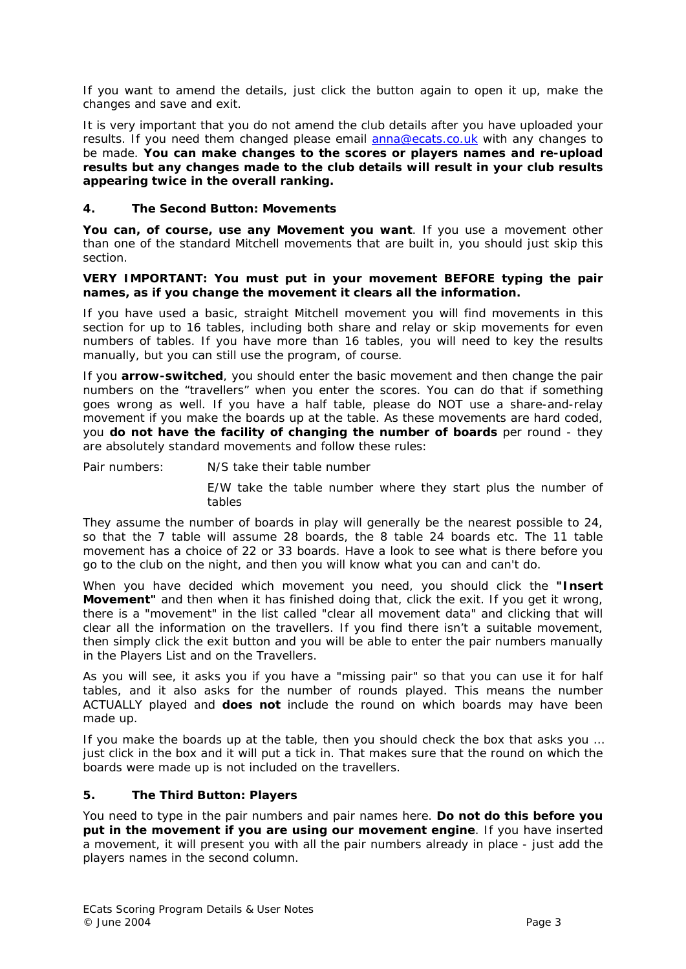If you want to amend the details, just click the button again to open it up, make the changes and save and exit.

It is very important that you do not amend the club details after you have uploaded your results. If you need them changed please email anna@ecats.co.uk with any changes to be made. **You can make changes to the scores or players names and re-upload results but any changes made to the club details will result in your club results appearing twice in the overall ranking.**

#### **4. The Second Button: Movements**

**You can, of course, use any Movement you want**. If you use a movement other than one of the standard Mitchell movements that are built in, you should just skip this section.

#### **VERY IMPORTANT: You must put in your movement BEFORE typing the pair names, as if you change the movement it clears all the information.**

If you have used a basic, straight Mitchell movement you will find movements in this section for up to 16 tables, including both share and relay or skip movements for even numbers of tables. If you have more than 16 tables, you will need to key the results manually, but you can still use the program, of course.

If you **arrow-switched**, you should enter the basic movement and then change the pair numbers on the "travellers" when you enter the scores. You can do that if something goes wrong as well. If you have a half table, please do NOT use a share-and-relay movement if you make the boards up at the table. As these movements are hard coded, you **do not have the facility of changing the number of boards** per round - they are absolutely standard movements and follow these rules:

Pair numbers: N/S take their table number

 E/W take the table number where they start plus the number of tables

They assume the number of boards in play will generally be the nearest possible to 24, so that the 7 table will assume 28 boards, the 8 table 24 boards etc. The 11 table movement has a choice of 22 or 33 boards. Have a look to see what is there before you go to the club on the night, and then you will know what you can and can't do.

When you have decided which movement you need, you should click the **"Insert Movement"** and then when it has finished doing that, click the exit. If you get it wrong, there is a "movement" in the list called "clear all movement data" and clicking that will clear all the information on the travellers. If you find there isn't a suitable movement, then simply click the exit button and you will be able to enter the pair numbers manually in the Players List and on the Travellers.

As you will see, it asks you if you have a "missing pair" so that you can use it for half tables, and it also asks for the number of rounds played. This means the number ACTUALLY played and **does not** include the round on which boards may have been made up.

If you make the boards up at the table, then you should check the box that asks you … just click in the box and it will put a tick in. That makes sure that the round on which the boards were made up is not included on the travellers.

#### **5. The Third Button: Players**

You need to type in the pair numbers and pair names here. **Do not do this before you put in the movement if you are using our movement engine**. If you have inserted a movement, it will present you with all the pair numbers already in place - just add the players names in the second column.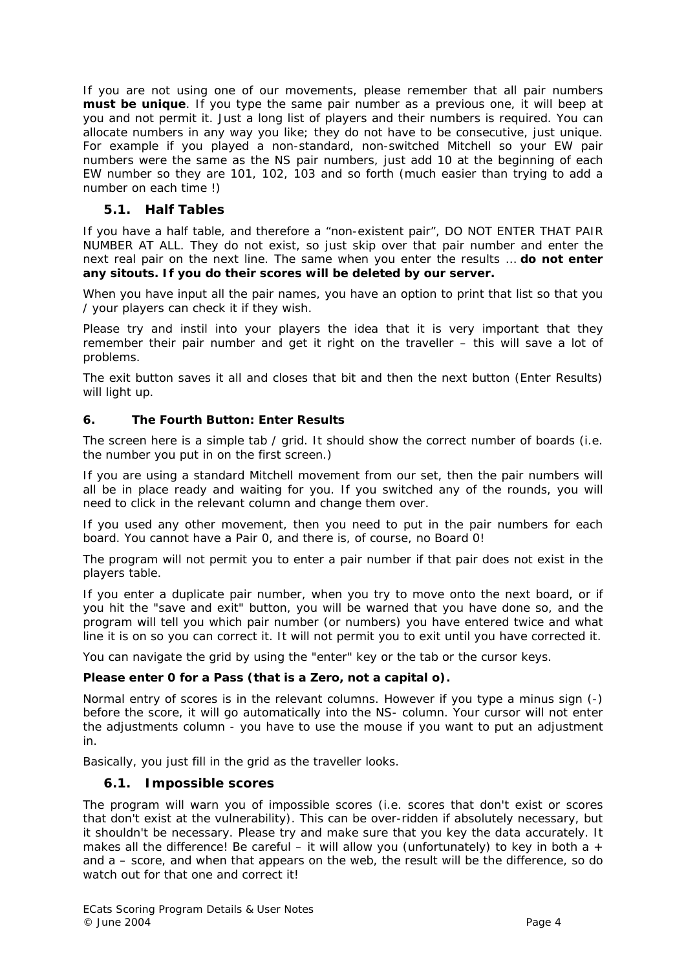If you are not using one of our movements, please remember that all pair numbers **must be unique**. If you type the same pair number as a previous one, it will beep at you and not permit it. Just a long list of players and their numbers is required. You can allocate numbers in any way you like; they do not have to be consecutive, just unique. For example if you played a non-standard, non-switched Mitchell so your EW pair numbers were the same as the NS pair numbers, just add 10 at the beginning of each EW number so they are 101, 102, 103 and so forth (much easier than trying to add a number on each time !)

# *5.1. Half Tables*

If you have a half table, and therefore a "non-existent pair", DO NOT ENTER THAT PAIR NUMBER AT ALL. They do not exist, so just skip over that pair number and enter the next real pair on the next line. The same when you enter the results … **do not enter any sitouts. If you do their scores will be deleted by our server.** 

When you have input all the pair names, you have an option to print that list so that you / your players can check it if they wish.

Please try and instil into your players the idea that it is very important that they remember their pair number and get it right on the traveller – this will save a lot of problems.

The exit button saves it all and closes that bit and then the next button (Enter Results) will light up.

#### **6. The Fourth Button: Enter Results**

The screen here is a simple tab / grid. It should show the correct number of boards (i.e. the number you put in on the first screen.)

If you are using a standard Mitchell movement from our set, then the pair numbers will all be in place ready and waiting for you. If you switched any of the rounds, you will need to click in the relevant column and change them over.

If you used any other movement, then you need to put in the pair numbers for each board. You cannot have a Pair 0, and there is, of course, no Board 0!

The program will not permit you to enter a pair number if that pair does not exist in the players table.

If you enter a duplicate pair number, when you try to move onto the next board, or if you hit the "save and exit" button, you will be warned that you have done so, and the program will tell you which pair number (or numbers) you have entered twice and what line it is on so you can correct it. It will not permit you to exit until you have corrected it.

You can navigate the grid by using the "enter" key or the tab or the cursor keys.

#### **Please enter 0 for a Pass (that is a Zero, not a capital o).**

Normal entry of scores is in the relevant columns. However if you type a minus sign (-) before the score, it will go automatically into the NS- column. Your cursor will not enter the adjustments column - you have to use the mouse if you want to put an adjustment in.

Basically, you just fill in the grid as the traveller looks.

### *6.1. Impossible scores*

The program will warn you of impossible scores (i.e. scores that don't exist or scores that don't exist at the vulnerability). This can be over-ridden if absolutely necessary, but it shouldn't be necessary. Please try and make sure that you key the data accurately. It makes all the difference! Be careful – it will allow you (unfortunately) to key in both a  $+$ and a – score, and when that appears on the web, the result will be the difference, so do watch out for that one and correct it!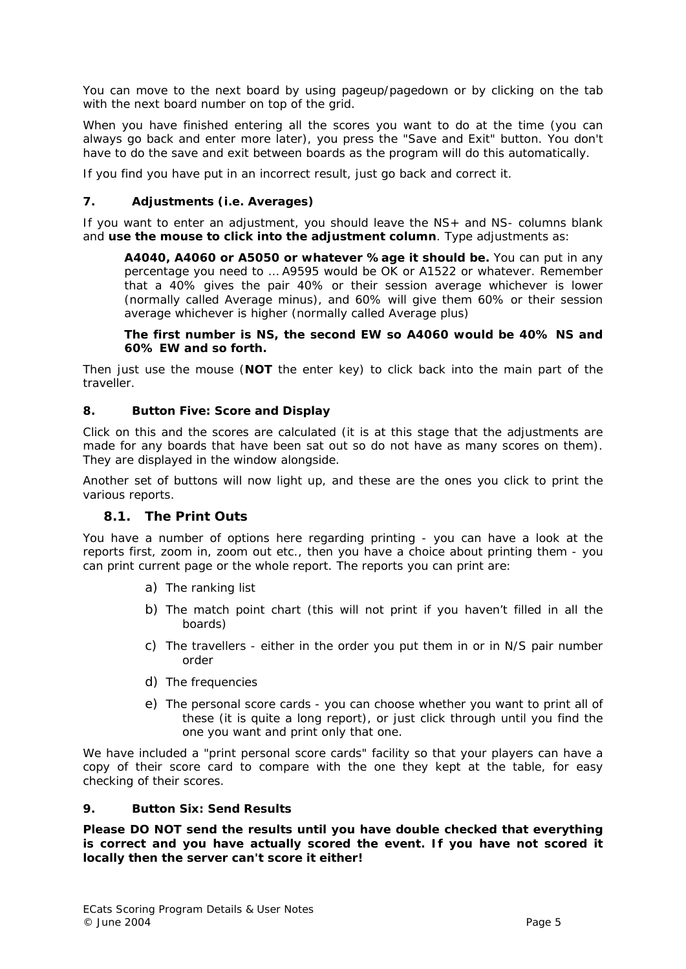You can move to the next board by using pageup/pagedown or by clicking on the tab with the next board number on top of the grid.

When you have finished entering all the scores you want to do at the time (you can always go back and enter more later), you press the "Save and Exit" button. You don't have to do the save and exit between boards as the program will do this automatically.

If you find you have put in an incorrect result, just go back and correct it.

#### **7. Adjustments (i.e. Averages)**

If you want to enter an adjustment, you should leave the NS+ and NS- columns blank and **use the mouse to click into the adjustment column**. Type adjustments as:

**A4040, A4060 or A5050 or whatever %age it should be.** You can put in any percentage you need to … A9595 would be OK or A1522 or whatever. Remember that a 40% gives the pair 40% or their session average whichever is lower (normally called Average minus), and 60% will give them 60% or their session average whichever is higher (normally called Average plus)

**The first number is NS, the second EW so A4060 would be 40% NS and 60% EW and so forth.** 

Then just use the mouse (**NOT** the enter key) to click back into the main part of the traveller.

#### **8. Button Five: Score and Display**

Click on this and the scores are calculated (it is at this stage that the adjustments are made for any boards that have been sat out so do not have as many scores on them). They are displayed in the window alongside.

Another set of buttons will now light up, and these are the ones you click to print the various reports.

### *8.1. The Print Outs*

You have a number of options here regarding printing - you can have a look at the reports first, zoom in, zoom out etc., then you have a choice about printing them - you can print current page or the whole report. The reports you can print are:

- a) The ranking list
- b) The match point chart (this will not print if you haven't filled in all the boards)
- c) The travellers either in the order you put them in or in N/S pair number order
- d) The frequencies
- e) The personal score cards you can choose whether you want to print all of these (it is quite a long report), or just click through until you find the one you want and print only that one.

We have included a "print personal score cards" facility so that your players can have a copy of their score card to compare with the one they kept at the table, for easy checking of their scores.

#### **9. Button Six: Send Results**

**Please DO NOT send the results until you have double checked that everything is correct** *and* **you have actually scored the event. If you have not scored it locally then the server can't score it either!**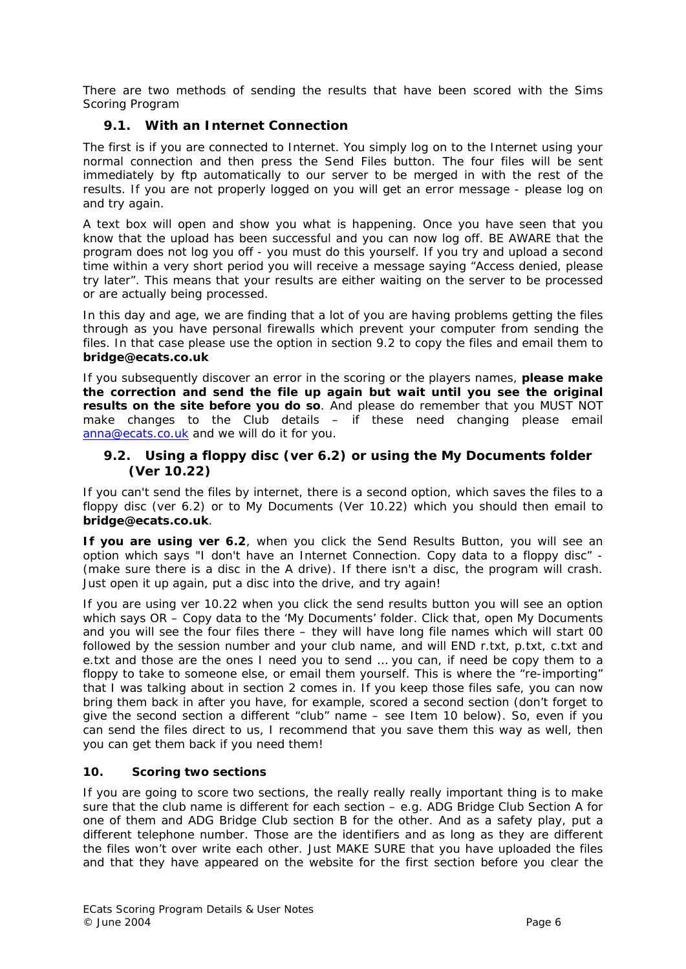There are two methods of sending the results that have been scored with the Sims Scoring Program

# *9.1. With an Internet Connection*

The first is if you are connected to Internet. You simply log on to the Internet using your normal connection and then press the Send Files button. The four files will be sent immediately by ftp automatically to our server to be merged in with the rest of the results. If you are not properly logged on you will get an error message - please log on and try again.

A text box will open and show you what is happening. Once you have seen that you know that the upload has been successful and you can now log off. BE AWARE that the program does not log you off - you must do this yourself. If you try and upload a second time within a very short period you will receive a message saying "Access denied, please try later". This means that your results are either waiting on the server to be processed or are actually being processed.

In this day and age, we are finding that a lot of you are having problems getting the files through as you have personal firewalls which prevent your computer from sending the files. In that case please use the option in section 9.2 to copy the files and email them to **bridge@ecats.co.uk**

If you subsequently discover an error in the scoring or the players names, **please make the correction and send the file up again but wait until you see the original results on the site before you do so**. And please do remember that you MUST NOT make changes to the Club details – if these need changing please email anna@ecats.co.uk and we will do it for you.

## *9.2. Using a floppy disc (ver 6.2) or using the My Documents folder (Ver 10.22)*

If you can't send the files by internet, there is a second option, which saves the files to a floppy disc (ver 6.2) or to My Documents (Ver 10.22) which you should then email to **bridge@ecats.co.uk**.

**If you are using ver 6.2**, when you click the Send Results Button, you will see an option which says "I don't have an Internet Connection. Copy data to a floppy disc" - (make sure there is a disc in the A drive). If there isn't a disc, the program will crash. Just open it up again, put a disc into the drive, and try again!

If you are using ver 10.22 when you click the send results button you will see an option which says OR – Copy data to the 'My Documents' folder. Click that, open My Documents and you will see the four files there – they will have long file names which will start 00 followed by the session number and your club name, and will END r.txt, p.txt, c.txt and e.txt and those are the ones I need you to send … you can, if need be copy them to a floppy to take to someone else, or email them yourself. This is where the "re-importing" that I was talking about in section 2 comes in. If you keep those files safe, you can now bring them back in after you have, for example, scored a second section (don't forget to give the second section a different "club" name – see Item 10 below). So, even if you can send the files direct to us, I recommend that you save them this way as well, then you can get them back if you need them!

### **10. Scoring two sections**

If you are going to score two sections, the really really really important thing is to make sure that the club name is different for each section – e.g. ADG Bridge Club Section A for one of them and ADG Bridge Club section B for the other. And as a safety play, put a different telephone number. Those are the identifiers and as long as they are different the files won't over write each other. Just MAKE SURE that you have uploaded the files and that they have appeared on the website for the first section before you clear the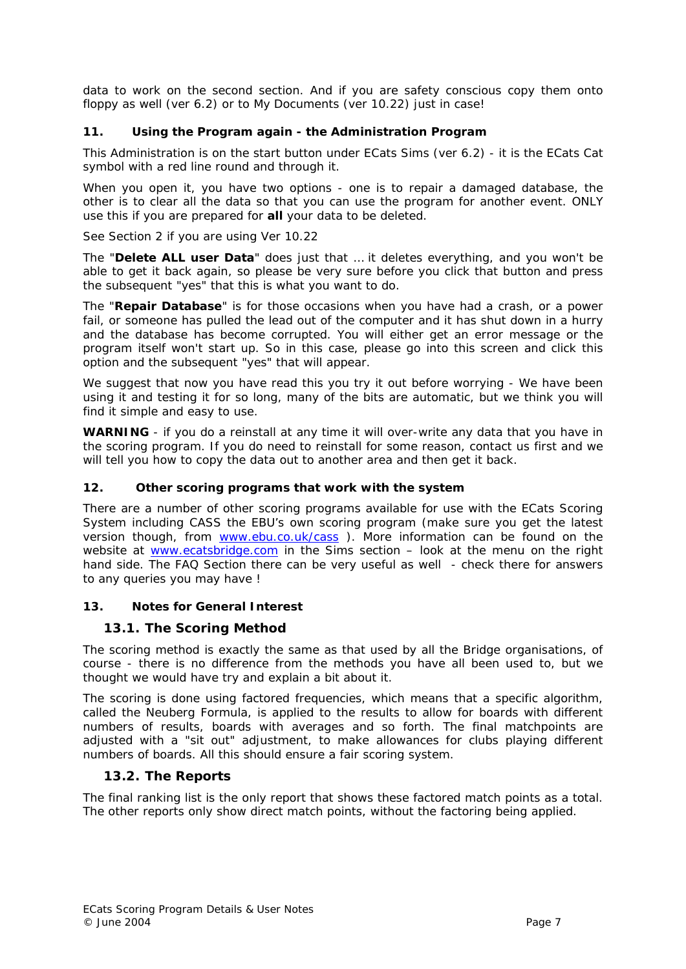data to work on the second section. And if you are safety conscious copy them onto floppy as well (ver 6.2) or to My Documents (ver 10.22) just in case!

## **11. Using the Program again - the Administration Program**

This Administration is on the start button under ECats Sims (ver 6.2) - it is the ECats Cat symbol with a red line round and through it.

When you open it, you have two options - one is to repair a damaged database, the other is to clear all the data so that you can use the program for another event. ONLY use this if you are prepared for **all** your data to be deleted.

See Section 2 if you are using Ver 10.22

The "**Delete ALL user Data**" does just that … it deletes everything, and you won't be able to get it back again, so please be very sure before you click that button and press the subsequent "yes" that this is what you want to do.

The "**Repair Database**" is for those occasions when you have had a crash, or a power fail, or someone has pulled the lead out of the computer and it has shut down in a hurry and the database has become corrupted. You will either get an error message or the program itself won't start up. So in this case, please go into this screen and click this option and the subsequent "yes" that will appear.

We suggest that now you have read this you try it out before worrying - We have been using it and testing it for so long, many of the bits are automatic, but we think you will find it simple and easy to use.

**WARNING** - if you do a reinstall at any time it will over-write any data that you have in the scoring program. If you do need to reinstall for some reason, contact us first and we will tell you how to copy the data out to another area and then get it back.

### **12. Other scoring programs that work with the system**

There are a number of other scoring programs available for use with the ECats Scoring System including CASS the EBU's own scoring program (make sure you get the latest version though, from www.ebu.co.uk/cass ). More information can be found on the website at www.ecatsbridge.com in the Sims section – look at the menu on the right hand side. The FAQ Section there can be very useful as well - check there for answers to any queries you may have !

### **13. Notes for General Interest**

### *13.1. The Scoring Method*

The scoring method is exactly the same as that used by all the Bridge organisations, of course - there is no difference from the methods you have all been used to, but we thought we would have try and explain a bit about it.

The scoring is done using factored frequencies, which means that a specific algorithm, called the Neuberg Formula, is applied to the results to allow for boards with different numbers of results, boards with averages and so forth. The final matchpoints are adjusted with a "sit out" adjustment, to make allowances for clubs playing different numbers of boards. All this should ensure a fair scoring system.

### *13.2. The Reports*

The final ranking list is the only report that shows these factored match points as a total. The other reports only show direct match points, without the factoring being applied.